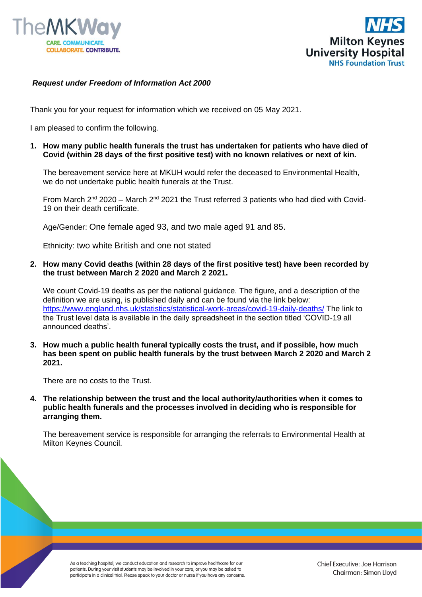



## *Request under Freedom of Information Act 2000*

Thank you for your request for information which we received on 05 May 2021.

I am pleased to confirm the following.

**1. How many public health funerals the trust has undertaken for patients who have died of Covid (within 28 days of the first positive test) with no known relatives or next of kin.**

The bereavement service here at MKUH would refer the deceased to Environmental Health, we do not undertake public health funerals at the Trust.

From March  $2^{nd}$  2020 – March  $2^{nd}$  2021 the Trust referred 3 patients who had died with Covid-19 on their death certificate.

Age/Gender: One female aged 93, and two male aged 91 and 85.

Ethnicity: two white British and one not stated

**2. How many Covid deaths (within 28 days of the first positive test) have been recorded by the trust between March 2 2020 and March 2 2021.**

We count Covid-19 deaths as per the national guidance. The figure, and a description of the definition we are using, is published daily and can be found via the link below: <https://www.england.nhs.uk/statistics/statistical-work-areas/covid-19-daily-deaths/> The link to the Trust level data is available in the daily spreadsheet in the section titled 'COVID-19 all announced deaths'.

**3. How much a public health funeral typically costs the trust, and if possible, how much has been spent on public health funerals by the trust between March 2 2020 and March 2 2021.**

There are no costs to the Trust.

**4. The relationship between the trust and the local authority/authorities when it comes to public health funerals and the processes involved in deciding who is responsible for arranging them.**

The bereavement service is responsible for arranging the referrals to Environmental Health at Milton Keynes Council.

As a teaching hospital, we conduct education and research to improve healthcare for our patients. During your visit students may be involved in your care, or you may be asked to participate in a clinical trial. Please speak to your doctor or nurse if you have any concerns.